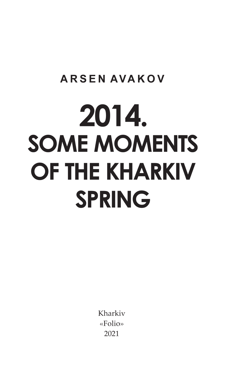## **ARSEN AVAKOV**

# 2014. **SOME MOMENTS** OF THE KHARKIV **SPRING**

Kharkiv «Folio» 2021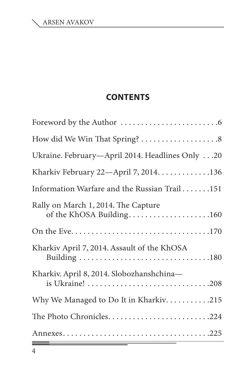#### **Contents**

| Ukraine. February-April 2014. Headlines Only 20                 |
|-----------------------------------------------------------------|
| Kharkiv February 22-April 7, 2014. 136                          |
| Information Warfare and the Russian Trail151                    |
| Rally on March 1, 2014. The Capture<br>of the KhOSA Building160 |
|                                                                 |
| Kharkiv April 7, 2014. Assault of the KhOSA                     |
| Kharkiv. April 8, 2014. Slobozhanshchina-                       |
| Why We Managed to Do It in Kharkiv. 215                         |
|                                                                 |
|                                                                 |

Ξ

<u> Tanzania – po</u>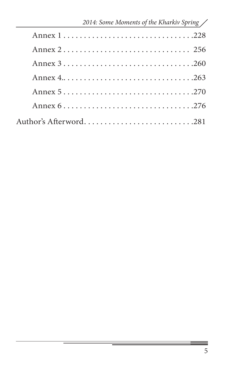| 2014: Some Moments of the Kharkiv Spring / |
|--------------------------------------------|
|                                            |
|                                            |
|                                            |
|                                            |
|                                            |
|                                            |
|                                            |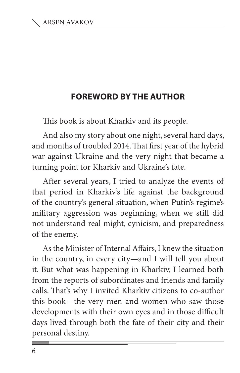### **FOREWORD BY THE AUTHOR**

This book is about Kharkiv and its people.

And also my story about one night, several hard days, and months of troubled 2014. That first year of the hybrid war against Ukraine and the very night that became a turning point for Kharkiv and Ukraine's fate.

After several years, I tried to analyze the events of that period in Kharkiv's life against the background of the country's general situation, when Putin's regime's military aggression was beginning, when we still did not understand real might, cynicism, and preparedness of the enemy.

As the Minister of Internal Affairs, I knew the situation in the country, in every city—and I will tell you about it. But what was happening in Kharkiv, I learned both from the reports of subordinates and friends and family calls. That's why I invited Kharkiv citizens to co-author this book—the very men and women who saw those developments with their own eyes and in those difficult days lived through both the fate of their city and their personal destiny.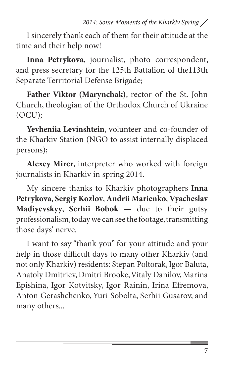I sincerely thank each of them for their attitude at the time and their help now!

**Inna Petrykova**, journalist, photo correspondent, and press secretary for the 125th Battalion of the113th Separate Territorial Defense Brigade;

**Father Viktor (Marynchak)**, rector of the St. John Church, theologian of the Orthodox Church of Ukraine (OCU);

**Yevheniia Levinshtein**, volunteer and co-founder of the Kharkiv Station (NGO to assist internally displaced persons);

**Alexey Mirer**, interpreter who worked with foreign journalists in Kharkiv in spring 2014.

My sincere thanks to Kharkiv photographers **Inna Petrykova**, **Sergiy Kozlov**, **Andrii Marienko**, **Vyacheslav Madiyevskyy**, **Serhii Bobok** — due to their gutsy professionalism, today we can see the footage, transmitting those days' nerve.

I want to say "thank you" for your attitude and your help in those difficult days to many other Kharkiv (and not only Kharkiv) residents: Stepan Poltorak, Igor Baluta, Anatoly Dmitriev, Dmitri Brooke, Vitaly Danilov, Marina Epishina, Igor Kotvitsky, Igor Rainin, Irina Efremova, Anton Gerashchenko, Yuri Sobolta, Serhii Gusarov, and many others...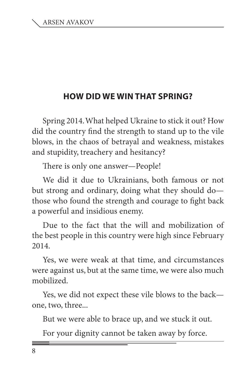#### **How Did We Win That Spring?**

Spring 2014. What helped Ukraine to stick it out? How did the country find the strength to stand up to the vile blows, in the chaos of betrayal and weakness, mistakes and stupidity, treachery and hesitancy?

There is only one answer—People!

We did it due to Ukrainians, both famous or not but strong and ordinary, doing what they should do those who found the strength and courage to fight back a powerful and insidious enemy.

Due to the fact that the will and mobilization of the best people in this country were high since February 2014.

Yes, we were weak at that time, and circumstances were against us, but at the same time, we were also much mobilized.

Yes, we did not expect these vile blows to the back one, two, three...

But we were able to brace up, and we stuck it out.

For your dignity cannot be taken away by force.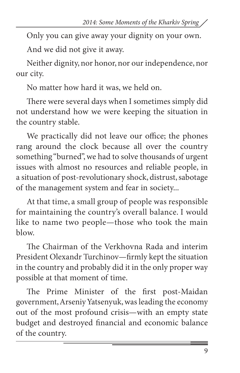Only you can give away your dignity on your own.

And we did not give it away.

Neither dignity, nor honor, nor our independence, nor our city.

No matter how hard it was, we held on.

There were several days when I sometimes simply did not understand how we were keeping the situation in the country stable.

We practically did not leave our office; the phones rang around the clock because all over the country something "burned", we had to solve thousands of urgent issues with almost no resources and reliable people, in a situation of post-revolutionary shock, distrust, sabotage of the management system and fear in society...

At that time, a small group of people was responsible for maintaining the country's overall balance. I would like to name two people—those who took the main blow.

The Chairman of the Verkhovna Rada and interim President Olexandr Turchinov—firmly kept the situation in the country and probably did it in the only proper way possible at that moment of time.

The Prime Minister of the first post-Maidan government, Arseniy Yatsenyuk, was leading the economy out of the most profound crisis—with an empty state budget and destroyed financial and economic balance of the country.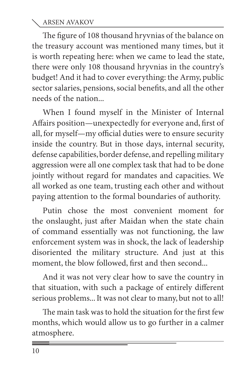The figure of 108 thousand hryvnias of the balance on the treasury account was mentioned many times, but it is worth repeating here: when we came to lead the state, there were only 108 thousand hryvnias in the country's budget! And it had to cover everything: the Army, public sector salaries, pensions, social benefits, and all the other needs of the nation

When I found myself in the Minister of Internal Affairs position—unexpectedly for everyone and, first of all, for myself—my official duties were to ensure security inside the country. But in those days, internal security, defense capabilities, border defense, and repelling military aggression were all one complex task that had to be done jointly without regard for mandates and capacities. We all worked as one team, trusting each other and without paying attention to the formal boundaries of authority.

Putin chose the most convenient moment for the onslaught, just after Maidan when the state chain of command essentially was not functioning, the law enforcement system was in shock, the lack of leadership disoriented the military structure. And just at this moment, the blow followed, first and then second...

And it was not very clear how to save the country in that situation, with such a package of entirely different serious problems... It was not clear to many, but not to all!

The main task was to hold the situation for the first few months, which would allow us to go further in a calmer atmosphere.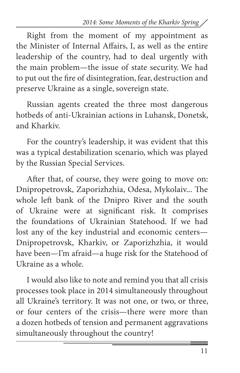Right from the moment of my appointment as the Minister of Internal Affairs, I, as well as the entire leadership of the country, had to deal urgently with the main problem—the issue of state security. We had to put out the fire of disintegration, fear, destruction and preserve Ukraine as a single, sovereign state.

Russian agents created the three most dangerous hotbeds of anti-Ukrainian actions in Luhansk, Donetsk, and Kharkiv.

For the country's leadership, it was evident that this was a typical destabilization scenario, which was played by the Russian Special Services.

After that, of course, they were going to move on: Dnipropetrovsk, Zaporizhzhia, Odesa, Mykolaiv... The whole left bank of the Dnipro River and the south of Ukraine were at significant risk. It comprises the foundations of Ukrainian Statehood. If we had lost any of the key industrial and economic centers— Dnipropetrovsk, Kharkiv, or Zaporizhzhia, it would have been—I'm afraid—a huge risk for the Statehood of Ukraine as a whole.

I would also like to note and remind you that all crisis processes took place in 2014 simultaneously throughout all Ukraine's territory. It was not one, or two, or three, or four centers of the crisis—there were more than a dozen hotbeds of tension and permanent aggravations simultaneously throughout the country!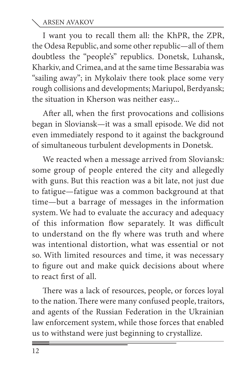I want you to recall them all: the KhPR, the ZPR, the Odesa Republic, and some other republic—all of them doubtless the "people's" republics. Donetsk, Luhansk, Kharkiv, and Crimea, and at the same time Bessarabia was "sailing away"; in Mykolaiv there took place some very rough collisions and developments; Mariupol, Berdyansk; the situation in Kherson was neither easy...

After all, when the first provocations and collisions began in Sloviansk—it was a small episode. We did not even immediately respond to it against the background of simultaneous turbulent developments in Donetsk.

We reacted when a message arrived from Sloviansk: some group of people entered the city and allegedly with guns. But this reaction was a bit late, not just due to fatigue—fatigue was a common background at that time—but a barrage of messages in the information system. We had to evaluate the accuracy and adequacy of this information flow separately. It was difficult to understand on the fly where was truth and where was intentional distortion, what was essential or not so. With limited resources and time, it was necessary to figure out and make quick decisions about where to react first of all.

There was a lack of resources, people, or forces loyal to the nation. There were many confused people, traitors, and agents of the Russian Federation in the Ukrainian law enforcement system, while those forces that enabled us to withstand were just beginning to crystallize.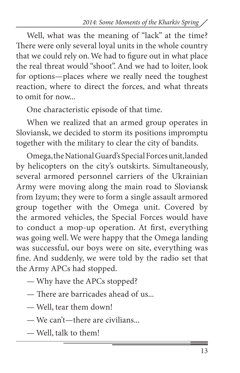Well, what was the meaning of "lack" at the time? There were only several loyal units in the whole country that we could rely on. We had to figure out in what place the real threat would "shoot". And we had to loiter, look for options—places where we really need the toughest reaction, where to direct the forces, and what threats to omit for now...

One characteristic episode of that time.

When we realized that an armed group operates in Sloviansk, we decided to storm its positions impromptu together with the military to clear the city of bandits.

Omega, the National Guard's Special Forces unit, landed by helicopters on the city's outskirts. Simultaneously, several armored personnel carriers of the Ukrainian Army were moving along the main road to Sloviansk from Izyum; they were to form a single assault armored group together with the Omega unit. Covered by the armored vehicles, the Special Forces would have to conduct a mop-up operation. At first, everything was going well. We were happy that the Omega landing was successful, our boys were on site, everything was fine. And suddenly, we were told by the radio set that the Army APCs had stopped.

- Why have the APCs stopped?
- There are barricades ahead of us...
- Well, tear them down!
- We can't—there are civilians...
- Well, talk to them!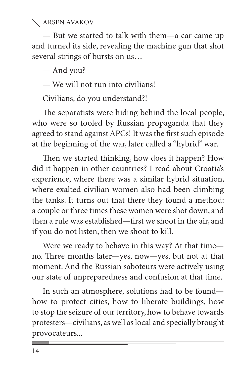— But we started to talk with them—a car came up and turned its side, revealing the machine gun that shot several strings of bursts on us…

— And you?

— We will not run into civilians!

Civilians, do you understand?!

The separatists were hiding behind the local people, who were so fooled by Russian propaganda that they agreed to stand against APCs! It was the first such episode at the beginning of the war, later called a "hybrid" war.

Then we started thinking, how does it happen? How did it happen in other countries? I read about Croatia's experience, where there was a similar hybrid situation, where exalted civilian women also had been climbing the tanks. It turns out that there they found a method: a couple or three times these women were shot down, and then a rule was established—first we shoot in the air, and if you do not listen, then we shoot to kill.

Were we ready to behave in this way? At that time no. Three months later—yes, now—yes, but not at that moment. And the Russian saboteurs were actively using our state of unpreparedness and confusion at that time.

In such an atmosphere, solutions had to be found how to protect cities, how to liberate buildings, how to stop the seizure of our territory, how to behave towards protesters—civilians, as well as local and specially brought provocateurs...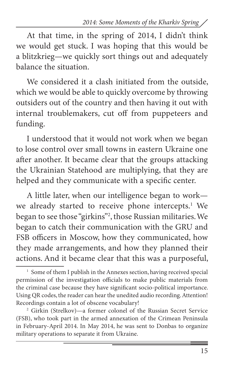At that time, in the spring of 2014, I didn't think we would get stuck. I was hoping that this would be a blitzkrieg—we quickly sort things out and adequately balance the situation.

We considered it a clash initiated from the outside, which we would be able to quickly overcome by throwing outsiders out of the country and then having it out with internal troublemakers, cut off from puppeteers and funding.

I understood that it would not work when we began to lose control over small towns in eastern Ukraine one after another. It became clear that the groups attacking the Ukrainian Statehood are multiplying, that they are helped and they communicate with a specific center.

A little later, when our intelligence began to work we already started to receive phone intercepts. 1 We began to see those "girkins"2 , those Russian militaries. We began to catch their communication with the GRU and FSB officers in Moscow, how they communicated, how they made arrangements, and how they planned their actions. And it became clear that this was a purposeful,

<sup>2</sup> Girkin (Strelkov)—a former colonel of the Russian Secret Service (FSB), who took part in the armed annexation of the Crimean Peninsula in February-April 2014. In May 2014, he was sent to Donbas to organize military operations to separate it from Ukraine.

<sup>&</sup>lt;sup>1</sup> Some of them I publish in the Annexes section, having received special permission of the investigation officials to make public materials from the criminal case because they have significant socio-political importance. Using QR codes, the reader can hear the unedited audio recording. Attention! Recordings contain a lot of obscene vocabulary!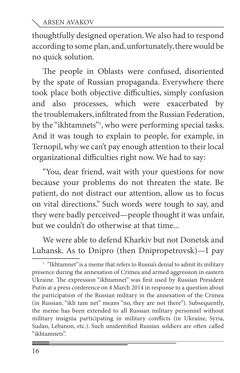thoughtfully designed operation. We also had to respond according to some plan, and, unfortunately, there would be no quick solution.

The people in Oblasts were confused, disoriented by the spate of Russian propaganda. Everywhere there took place both objective difficulties, simply confusion and also processes, which were exacerbated by the troublemakers, infiltrated from the Russian Federation, by the "ikhtamnets"1 , who were performing special tasks. And it was tough to explain to people, for example, in Ternopil, why we can't pay enough attention to their local organizational difficulties right now. We had to say:

"You, dear friend, wait with your questions for now because your problems do not threaten the state. Be patient, do not distract our attention, allow us to focus on vital directions." Such words were tough to say, and they were badly perceived—people thought it was unfair, but we couldn't do otherwise at that time...

We were able to defend Kharkiv but not Donetsk and Luhansk. As to Dnipro (then Dnipropetrovsk)—I pay

<sup>&</sup>lt;sup>1</sup> "Ikhtamnet" is a meme that refers to Russia's denial to admit its military presence during the annexation of Crimea and armed aggression in eastern Ukraine. The expression "ikhtamnet" was first used by Russian President Putin at a press conference on 4 March 2014 in response to a question about the participation of the Russian military in the annexation of the Crimea (in Russian, "ikh tam net" means "no, they are not there"). Subsequently, the meme has been extended to all Russian military personnel without military insignia participating in military conflicts (in Ukraine, Syria, Sudan, Lebanon, etc.). Such unidentified Russian soldiers are often called "ikhtamnets".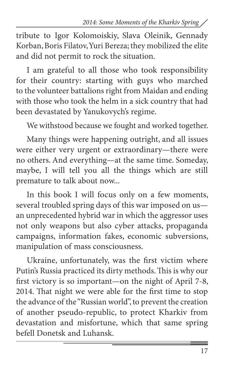tribute to Igor Kolomoiskiy, Slava Oleinik, Gennady Korban, Boris Filatov, Yuri Bereza; they mobilized the elite and did not permit to rock the situation.

I am grateful to all those who took responsibility for their country: starting with guys who marched to the volunteer battalions right from Maidan and ending with those who took the helm in a sick country that had been devastated by Yanukovych's regime.

We withstood because we fought and worked together.

Many things were happening outright, and all issues were either very urgent or extraordinary—there were no others. And everything—at the same time. Someday, maybe, I will tell you all the things which are still premature to talk about now...

In this book I will focus only on a few moments, several troubled spring days of this war imposed on us an unprecedented hybrid war in which the aggressor uses not only weapons but also cyber attacks, propaganda campaigns, information fakes, economic subversions, manipulation of mass consciousness.

Ukraine, unfortunately, was the first victim where Putin's Russia practiced its dirty methods. This is why our first victory is so important—on the night of April 7-8, 2014. That night we were able for the first time to stop the advance of the"Russian world", to prevent the creation of another pseudo-republic, to protect Kharkiv from devastation and misfortune, which that same spring befell Donetsk and Luhansk.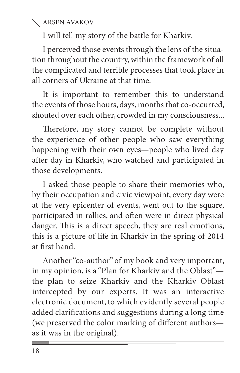I will tell my story of the battle for Kharkiv.

I perceived those events through the lens of the situation throughout the country, within the framework of all the complicated and terrible processes that took place in all corners of Ukraine at that time.

It is important to remember this to understand the events of those hours, days, months that co-occurred, shouted over each other, crowded in my consciousness...

Therefore, my story cannot be complete without the experience of other people who saw everything happening with their own eyes—people who lived day after day in Kharkiv, who watched and participated in those developments.

I asked those people to share their memories who, by their occupation and civic viewpoint, every day were at the very epicenter of events, went out to the square, participated in rallies, and often were in direct physical danger. This is a direct speech, they are real emotions, this is a picture of life in Kharkiv in the spring of 2014 at first hand.

Another "co-author" of my book and very important, in my opinion, is a "Plan for Kharkiv and the Oblast" the plan to seize Kharkiv and the Kharkiv Oblast intercepted by our experts. It was an interactive electronic document, to which evidently several people added clarifications and suggestions during a long time (we preserved the color marking of different authors as it was in the original).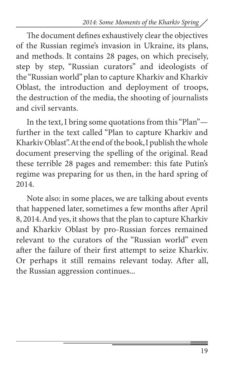The document defines exhaustively clear the objectives of the Russian regime's invasion in Ukraine, its plans, and methods. It contains 28 pages, on which precisely, step by step, "Russian curators" and ideologists of the "Russian world" plan to capture Kharkiv and Kharkiv Oblast, the introduction and deployment of troops, the destruction of the media, the shooting of journalists and civil servants.

In the text, I bring some quotations from this "Plan" further in the text called "Plan to capture Kharkiv and Kharkiv Oblast". At the end of the book, I publish the whole document preserving the spelling of the original. Read these terrible 28 pages and remember: this fate Putin's regime was preparing for us then, in the hard spring of 2014.

Note also: in some places, we are talking about events that happened later, sometimes a few months after April 8, 2014. And yes, it shows that the plan to capture Kharkiv and Kharkiv Oblast by pro-Russian forces remained relevant to the curators of the "Russian world" even after the failure of their first attempt to seize Kharkiv. Or perhaps it still remains relevant today. After all, the Russian aggression continues...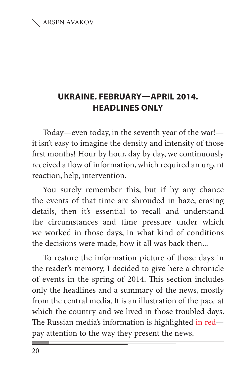### **Ukraine. February—April 2014. Headlines only**

Today—even today, in the seventh year of the war! it isn't easy to imagine the density and intensity of those first months! Hour by hour, day by day, we continuously received a flow of information, which required an urgent reaction, help, intervention.

You surely remember this, but if by any chance the events of that time are shrouded in haze, erasing details, then it's essential to recall and understand the circumstances and time pressure under which we worked in those days, in what kind of conditions the decisions were made, how it all was back then...

To restore the information picture of those days in the reader's memory, I decided to give here a chronicle of events in the spring of 2014. This section includes only the headlines and a summary of the news, mostly from the central media. It is an illustration of the pace at which the country and we lived in those troubled days. The Russian media's information is highlighted in red pay attention to the way they present the news.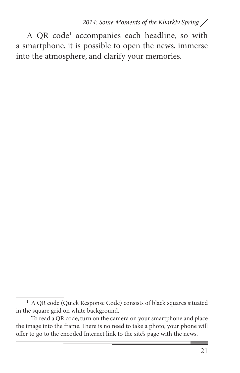A QR code<sup>1</sup> accompanies each headline, so with a smartphone, it is possible to open the news, immerse into the atmosphere, and clarify your memories.

<sup>&</sup>lt;sup>1</sup> A QR code (Quick Response Code) consists of black squares situated in the square grid on white background.

To read a QR code, turn on the camera on your smartphone and place the image into the frame. There is no need to take a photo; your phone will offer to go to the encoded Internet link to the site's page with the news.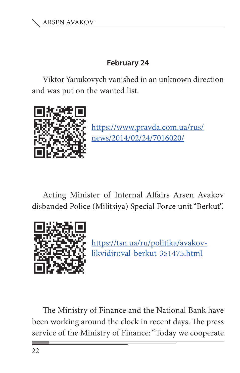#### **February 24**

Viktor Yanukovych vanished in an unknown direction and was put on the wanted list.



https://www.pravda.com.ua/rus/ news/2014/02/24/7016020/

Acting Minister of Internal Affairs Arsen Avakov disbanded Police (Militsiya) Special Force unit "Berkut".



https://tsn.ua/ru/politika/avakovlikvidiroval-berkut-351475.html

The Ministry of Finance and the National Bank have been working around the clock in recent days. The press service of the Ministry of Finance: "Today we cooperate